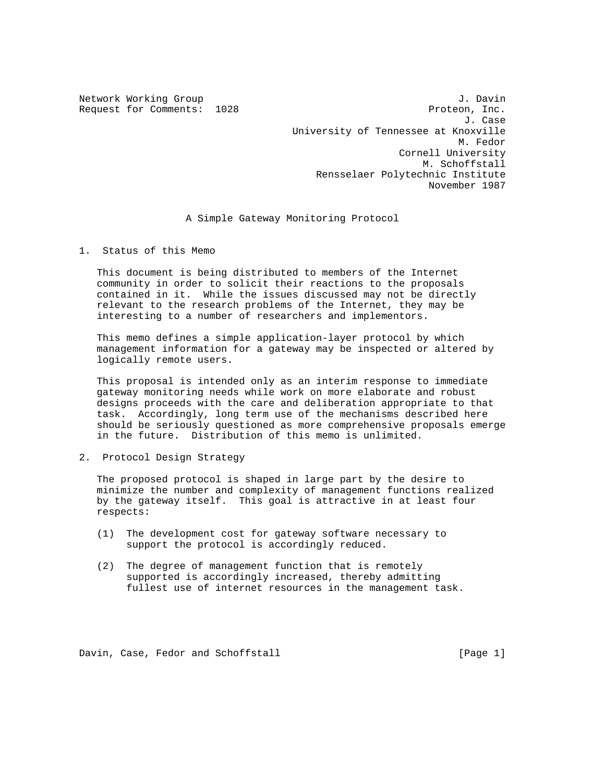Network Working Group 3. Davin 3. Davin Request for Comments: 1028 Proteon, Inc. J. Case University of Tennessee at Knoxville M. Fedor Cornell University M. Schoffstall Rensselaer Polytechnic Institute November 1987

A Simple Gateway Monitoring Protocol

1. Status of this Memo

 This document is being distributed to members of the Internet community in order to solicit their reactions to the proposals contained in it. While the issues discussed may not be directly relevant to the research problems of the Internet, they may be interesting to a number of researchers and implementors.

 This memo defines a simple application-layer protocol by which management information for a gateway may be inspected or altered by logically remote users.

 This proposal is intended only as an interim response to immediate gateway monitoring needs while work on more elaborate and robust designs proceeds with the care and deliberation appropriate to that task. Accordingly, long term use of the mechanisms described here should be seriously questioned as more comprehensive proposals emerge in the future. Distribution of this memo is unlimited.

2. Protocol Design Strategy

 The proposed protocol is shaped in large part by the desire to minimize the number and complexity of management functions realized by the gateway itself. This goal is attractive in at least four respects:

- (1) The development cost for gateway software necessary to support the protocol is accordingly reduced.
- (2) The degree of management function that is remotely supported is accordingly increased, thereby admitting fullest use of internet resources in the management task.

Davin, Case, Fedor and Schoffstall [Page 1]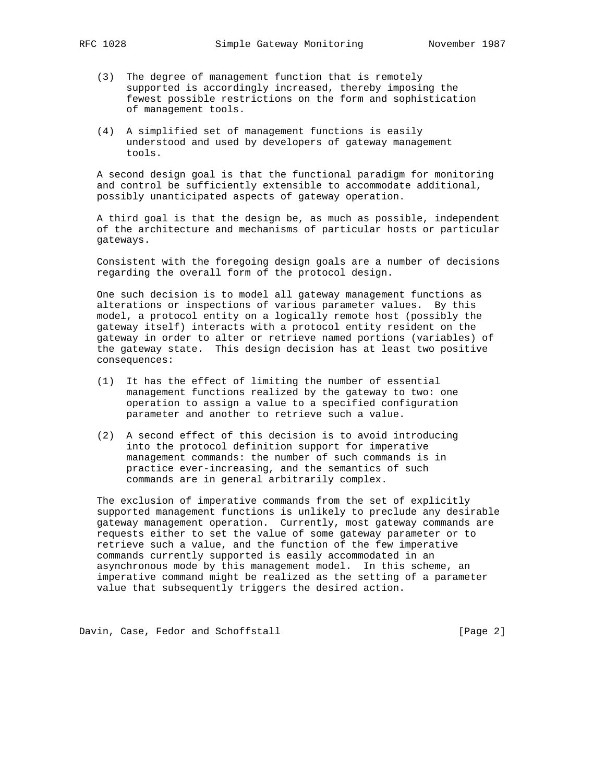- (3) The degree of management function that is remotely supported is accordingly increased, thereby imposing the fewest possible restrictions on the form and sophistication of management tools.
- (4) A simplified set of management functions is easily understood and used by developers of gateway management tools.

 A second design goal is that the functional paradigm for monitoring and control be sufficiently extensible to accommodate additional, possibly unanticipated aspects of gateway operation.

 A third goal is that the design be, as much as possible, independent of the architecture and mechanisms of particular hosts or particular gateways.

 Consistent with the foregoing design goals are a number of decisions regarding the overall form of the protocol design.

 One such decision is to model all gateway management functions as alterations or inspections of various parameter values. By this model, a protocol entity on a logically remote host (possibly the gateway itself) interacts with a protocol entity resident on the gateway in order to alter or retrieve named portions (variables) of the gateway state. This design decision has at least two positive consequences:

- (1) It has the effect of limiting the number of essential management functions realized by the gateway to two: one operation to assign a value to a specified configuration parameter and another to retrieve such a value.
- (2) A second effect of this decision is to avoid introducing into the protocol definition support for imperative management commands: the number of such commands is in practice ever-increasing, and the semantics of such commands are in general arbitrarily complex.

 The exclusion of imperative commands from the set of explicitly supported management functions is unlikely to preclude any desirable gateway management operation. Currently, most gateway commands are requests either to set the value of some gateway parameter or to retrieve such a value, and the function of the few imperative commands currently supported is easily accommodated in an asynchronous mode by this management model. In this scheme, an imperative command might be realized as the setting of a parameter value that subsequently triggers the desired action.

Davin, Case, Fedor and Schoffstall [Page 2]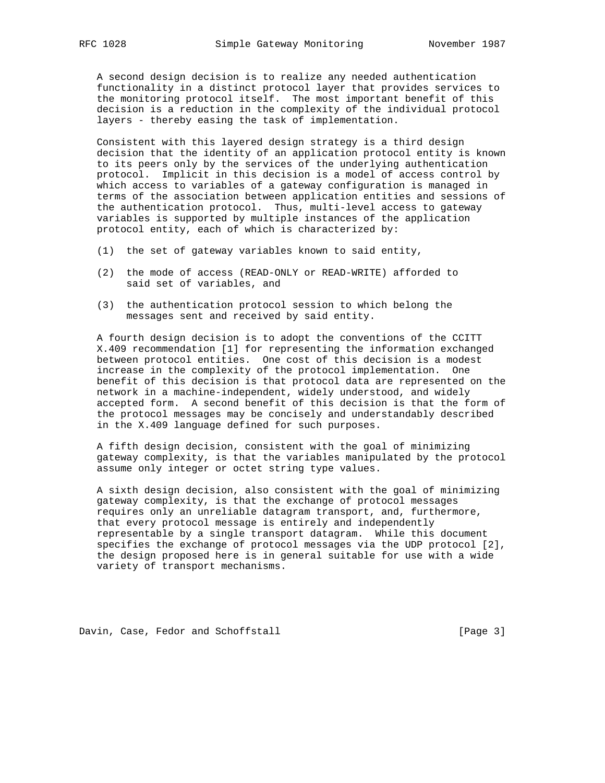A second design decision is to realize any needed authentication functionality in a distinct protocol layer that provides services to the monitoring protocol itself. The most important benefit of this decision is a reduction in the complexity of the individual protocol layers - thereby easing the task of implementation.

 Consistent with this layered design strategy is a third design decision that the identity of an application protocol entity is known to its peers only by the services of the underlying authentication protocol. Implicit in this decision is a model of access control by which access to variables of a gateway configuration is managed in terms of the association between application entities and sessions of the authentication protocol. Thus, multi-level access to gateway variables is supported by multiple instances of the application protocol entity, each of which is characterized by:

- (1) the set of gateway variables known to said entity,
- (2) the mode of access (READ-ONLY or READ-WRITE) afforded to said set of variables, and
- (3) the authentication protocol session to which belong the messages sent and received by said entity.

 A fourth design decision is to adopt the conventions of the CCITT X.409 recommendation [1] for representing the information exchanged between protocol entities. One cost of this decision is a modest increase in the complexity of the protocol implementation. One benefit of this decision is that protocol data are represented on the network in a machine-independent, widely understood, and widely accepted form. A second benefit of this decision is that the form of the protocol messages may be concisely and understandably described in the X.409 language defined for such purposes.

 A fifth design decision, consistent with the goal of minimizing gateway complexity, is that the variables manipulated by the protocol assume only integer or octet string type values.

 A sixth design decision, also consistent with the goal of minimizing gateway complexity, is that the exchange of protocol messages requires only an unreliable datagram transport, and, furthermore, that every protocol message is entirely and independently representable by a single transport datagram. While this document specifies the exchange of protocol messages via the UDP protocol [2], the design proposed here is in general suitable for use with a wide variety of transport mechanisms.

Davin, Case, Fedor and Schoffstall [Page 3]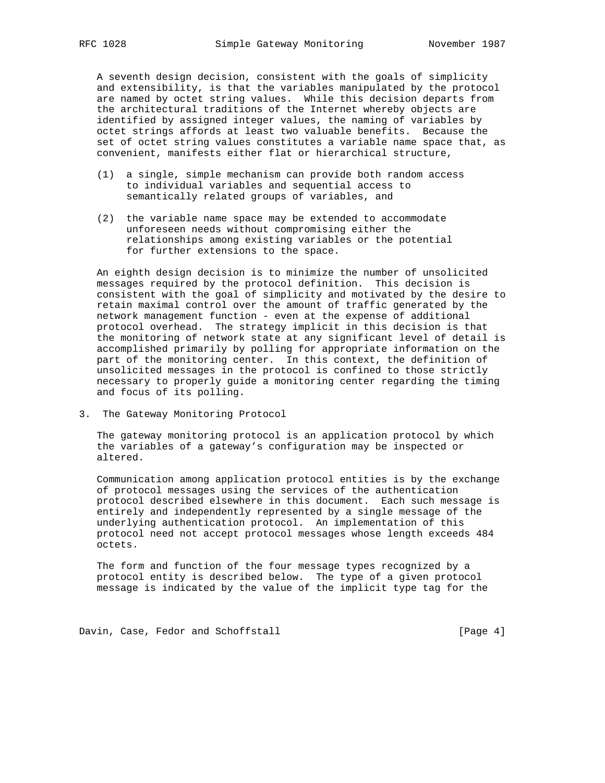A seventh design decision, consistent with the goals of simplicity and extensibility, is that the variables manipulated by the protocol are named by octet string values. While this decision departs from the architectural traditions of the Internet whereby objects are identified by assigned integer values, the naming of variables by octet strings affords at least two valuable benefits. Because the set of octet string values constitutes a variable name space that, as convenient, manifests either flat or hierarchical structure,

- (1) a single, simple mechanism can provide both random access to individual variables and sequential access to semantically related groups of variables, and
- (2) the variable name space may be extended to accommodate unforeseen needs without compromising either the relationships among existing variables or the potential for further extensions to the space.

 An eighth design decision is to minimize the number of unsolicited messages required by the protocol definition. This decision is consistent with the goal of simplicity and motivated by the desire to retain maximal control over the amount of traffic generated by the network management function - even at the expense of additional protocol overhead. The strategy implicit in this decision is that the monitoring of network state at any significant level of detail is accomplished primarily by polling for appropriate information on the part of the monitoring center. In this context, the definition of unsolicited messages in the protocol is confined to those strictly necessary to properly guide a monitoring center regarding the timing and focus of its polling.

3. The Gateway Monitoring Protocol

 The gateway monitoring protocol is an application protocol by which the variables of a gateway's configuration may be inspected or altered.

 Communication among application protocol entities is by the exchange of protocol messages using the services of the authentication protocol described elsewhere in this document. Each such message is entirely and independently represented by a single message of the underlying authentication protocol. An implementation of this protocol need not accept protocol messages whose length exceeds 484 octets.

 The form and function of the four message types recognized by a protocol entity is described below. The type of a given protocol message is indicated by the value of the implicit type tag for the

Davin, Case, Fedor and Schoffstall [Page 4]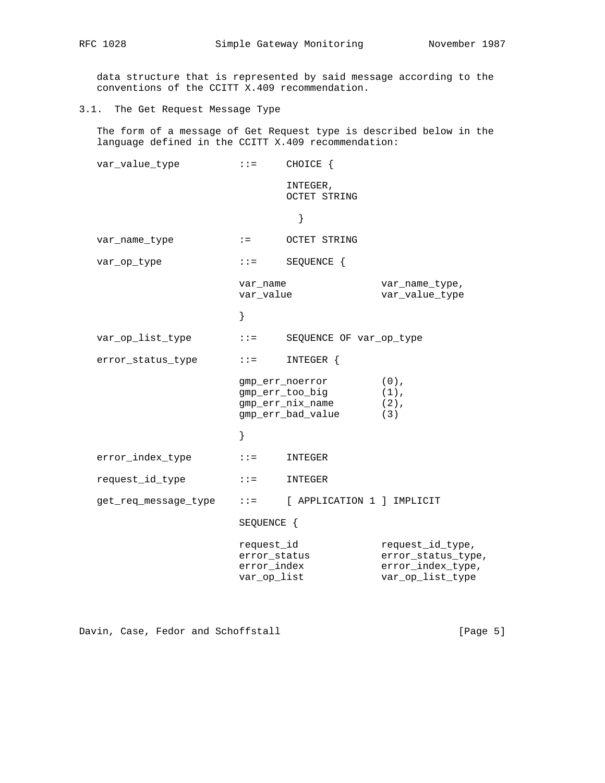data structure that is represented by said message according to the conventions of the CCITT X.409 recommendation.

3.1. The Get Request Message Type

 The form of a message of Get Request type is described below in the language defined in the CCITT X.409 recommendation:

| var_value_type       | $: : =$                                                  | CHOICE {                                                                    |                                                                                 |
|----------------------|----------------------------------------------------------|-----------------------------------------------------------------------------|---------------------------------------------------------------------------------|
|                      |                                                          | INTEGER,<br><b>OCTET STRING</b>                                             |                                                                                 |
|                      |                                                          | }                                                                           |                                                                                 |
| var_name_type        | $\mathbf{r} =$                                           | <b>OCTET STRING</b>                                                         |                                                                                 |
| var_op_type          | $: : =$                                                  | SEQUENCE {                                                                  |                                                                                 |
|                      | var name<br>var_value                                    |                                                                             | var_name_type,<br>var_value_type                                                |
|                      | }                                                        |                                                                             |                                                                                 |
| var_op_list_type     | $2.2 \pm 0.000$                                          | SEQUENCE OF var_op_type                                                     |                                                                                 |
| error status type    | $: : =$                                                  | INTEGER {                                                                   |                                                                                 |
|                      |                                                          | gmp_err_noerror<br>gmp_err_too_big<br>gmp_err_nix_name<br>gmp_err_bad_value | $(0)$ ,<br>$(1)$ ,<br>$(2)$ ,<br>(3)                                            |
|                      | }                                                        |                                                                             |                                                                                 |
| error_index_type     | $: z =$                                                  | INTEGER                                                                     |                                                                                 |
| request_id_type      | $: :=$                                                   | INTEGER                                                                     |                                                                                 |
| get_req_message_type | $2.2 \pm 1.0$                                            | [ APPLICATION 1 ] IMPLICIT                                                  |                                                                                 |
|                      | SEQUENCE {                                               |                                                                             |                                                                                 |
|                      | request_id<br>error_status<br>error_index<br>var_op_list |                                                                             | request_id_type,<br>error_status_type,<br>error_index_type,<br>var_op_list_type |

Davin, Case, Fedor and Schoffstall [Page 5]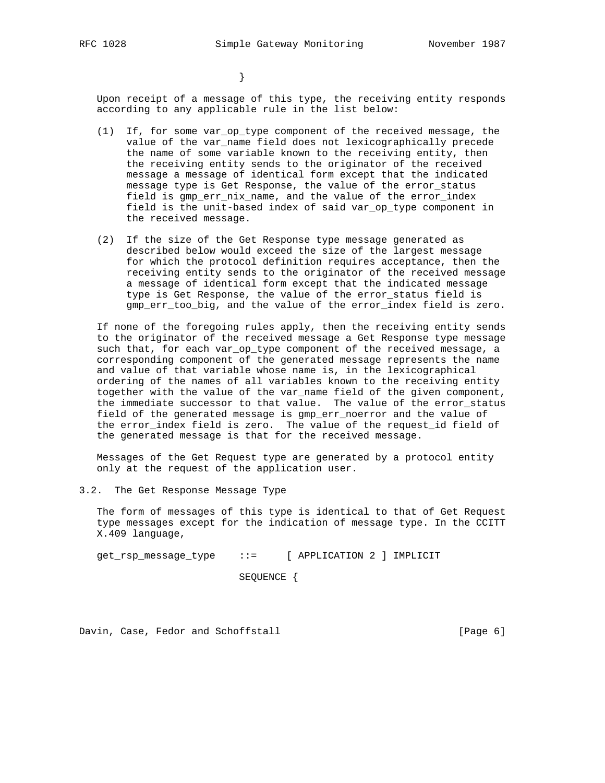}

 Upon receipt of a message of this type, the receiving entity responds according to any applicable rule in the list below:

- (1) If, for some var\_op\_type component of the received message, the value of the var\_name field does not lexicographically precede the name of some variable known to the receiving entity, then the receiving entity sends to the originator of the received message a message of identical form except that the indicated message type is Get Response, the value of the error\_status field is gmp\_err\_nix\_name, and the value of the error\_index field is the unit-based index of said var\_op\_type component in the received message.
- (2) If the size of the Get Response type message generated as described below would exceed the size of the largest message for which the protocol definition requires acceptance, then the receiving entity sends to the originator of the received message a message of identical form except that the indicated message type is Get Response, the value of the error\_status field is gmp\_err\_too\_big, and the value of the error\_index field is zero.

 If none of the foregoing rules apply, then the receiving entity sends to the originator of the received message a Get Response type message such that, for each var\_op\_type component of the received message, a corresponding component of the generated message represents the name and value of that variable whose name is, in the lexicographical ordering of the names of all variables known to the receiving entity together with the value of the var\_name field of the given component, the immediate successor to that value. The value of the error\_status field of the generated message is gmp\_err\_noerror and the value of the error\_index field is zero. The value of the request\_id field of the generated message is that for the received message.

 Messages of the Get Request type are generated by a protocol entity only at the request of the application user.

3.2. The Get Response Message Type

 The form of messages of this type is identical to that of Get Request type messages except for the indication of message type. In the CCITT X.409 language,

get\_rsp\_message\_type ::= [ APPLICATION 2 ] IMPLICIT

SEQUENCE {

Davin, Case, Fedor and Schoffstall [Page 6]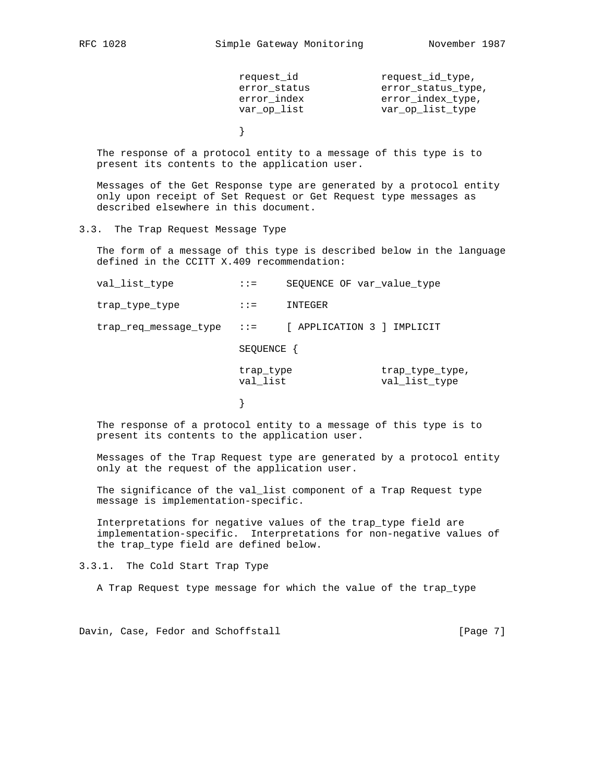| request id   | request id type,   |
|--------------|--------------------|
| error status | error status type, |
| error index  | error_index_type,  |
| var op list  | var op list type   |
|              |                    |

 The response of a protocol entity to a message of this type is to present its contents to the application user.

 Messages of the Get Response type are generated by a protocol entity only upon receipt of Set Request or Get Request type messages as described elsewhere in this document.

3.3. The Trap Request Message Type

}

 The form of a message of this type is described below in the language defined in the CCITT X.409 recommendation:

| val_list_type         | $: :=$                | SEQUENCE OF var_value_type |                                  |
|-----------------------|-----------------------|----------------------------|----------------------------------|
| trap_type_type        | $: :=$                | INTEGER                    |                                  |
| trap_req_message_type | $\therefore$ : $=$    | [ APPLICATION 3 ] IMPLICIT |                                  |
|                       | SEQUENCE {            |                            |                                  |
|                       | trap_type<br>val list |                            | trap_type_type,<br>val list type |
|                       |                       |                            |                                  |

 The response of a protocol entity to a message of this type is to present its contents to the application user.

 Messages of the Trap Request type are generated by a protocol entity only at the request of the application user.

 The significance of the val\_list component of a Trap Request type message is implementation-specific.

 Interpretations for negative values of the trap\_type field are implementation-specific. Interpretations for non-negative values of the trap\_type field are defined below.

3.3.1. The Cold Start Trap Type

A Trap Request type message for which the value of the trap\_type

Davin, Case, Fedor and Schoffstall [Page 7]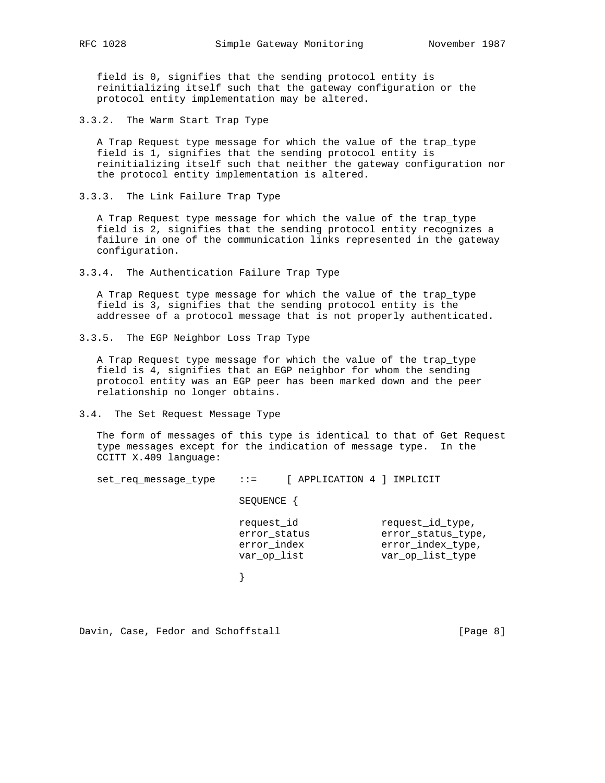field is 0, signifies that the sending protocol entity is reinitializing itself such that the gateway configuration or the protocol entity implementation may be altered.

3.3.2. The Warm Start Trap Type

 A Trap Request type message for which the value of the trap\_type field is 1, signifies that the sending protocol entity is reinitializing itself such that neither the gateway configuration nor the protocol entity implementation is altered.

3.3.3. The Link Failure Trap Type

 A Trap Request type message for which the value of the trap\_type field is 2, signifies that the sending protocol entity recognizes a failure in one of the communication links represented in the gateway configuration.

3.3.4. The Authentication Failure Trap Type

 A Trap Request type message for which the value of the trap\_type field is 3, signifies that the sending protocol entity is the addressee of a protocol message that is not properly authenticated.

3.3.5. The EGP Neighbor Loss Trap Type

 A Trap Request type message for which the value of the trap\_type field is 4, signifies that an EGP neighbor for whom the sending protocol entity was an EGP peer has been marked down and the peer relationship no longer obtains.

3.4. The Set Request Message Type

 The form of messages of this type is identical to that of Get Request type messages except for the indication of message type. In the CCITT X.409 language:

| set req message type | $\mathbf{1} \mathbf{1} =$                                | [ APPLICATION 4 ] IMPLICIT |  |                                                                                 |
|----------------------|----------------------------------------------------------|----------------------------|--|---------------------------------------------------------------------------------|
|                      | SEQUENCE {                                               |                            |  |                                                                                 |
|                      | request id<br>error status<br>error_index<br>var_op_list |                            |  | request_id_type,<br>error status type,<br>error_index_type,<br>var_op_list_type |
|                      |                                                          |                            |  |                                                                                 |
|                      |                                                          |                            |  |                                                                                 |

Davin, Case, Fedor and Schoffstall [Page 8]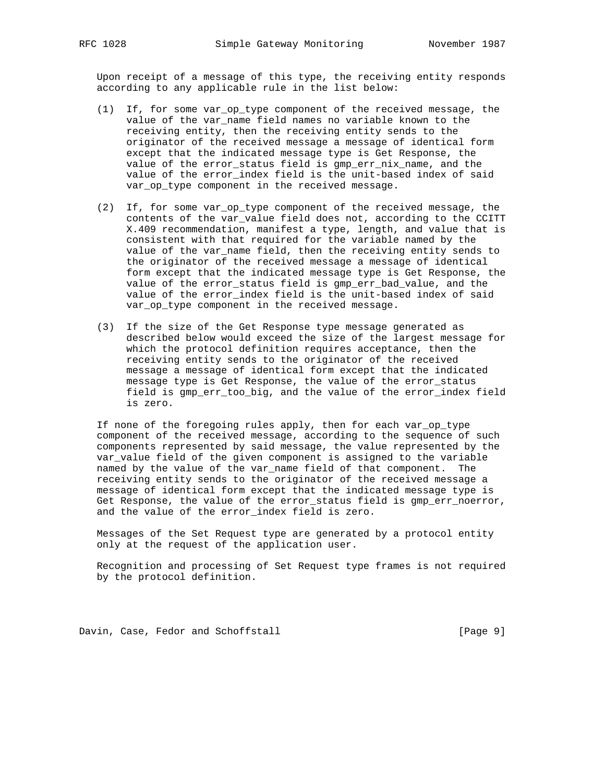Upon receipt of a message of this type, the receiving entity responds according to any applicable rule in the list below:

- (1) If, for some var\_op\_type component of the received message, the value of the var\_name field names no variable known to the receiving entity, then the receiving entity sends to the originator of the received message a message of identical form except that the indicated message type is Get Response, the value of the error\_status field is gmp\_err\_nix\_name, and the value of the error\_index field is the unit-based index of said var\_op\_type component in the received message.
- (2) If, for some var\_op\_type component of the received message, the contents of the var\_value field does not, according to the CCITT X.409 recommendation, manifest a type, length, and value that is consistent with that required for the variable named by the value of the var\_name field, then the receiving entity sends to the originator of the received message a message of identical form except that the indicated message type is Get Response, the value of the error\_status field is gmp\_err\_bad\_value, and the value of the error\_index field is the unit-based index of said var\_op\_type component in the received message.
- (3) If the size of the Get Response type message generated as described below would exceed the size of the largest message for which the protocol definition requires acceptance, then the receiving entity sends to the originator of the received message a message of identical form except that the indicated message type is Get Response, the value of the error\_status field is gmp\_err\_too\_big, and the value of the error\_index field is zero.

 If none of the foregoing rules apply, then for each var\_op\_type component of the received message, according to the sequence of such components represented by said message, the value represented by the var\_value field of the given component is assigned to the variable named by the value of the var\_name field of that component. The receiving entity sends to the originator of the received message a message of identical form except that the indicated message type is Get Response, the value of the error\_status field is gmp\_err\_noerror, and the value of the error\_index field is zero.

 Messages of the Set Request type are generated by a protocol entity only at the request of the application user.

 Recognition and processing of Set Request type frames is not required by the protocol definition.

Davin, Case, Fedor and Schoffstall [Page 9]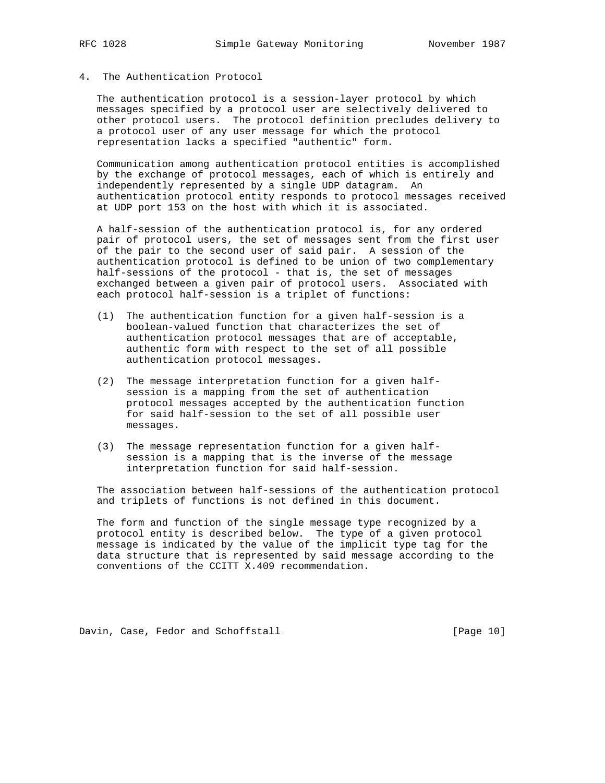# 4. The Authentication Protocol

 The authentication protocol is a session-layer protocol by which messages specified by a protocol user are selectively delivered to other protocol users. The protocol definition precludes delivery to a protocol user of any user message for which the protocol representation lacks a specified "authentic" form.

 Communication among authentication protocol entities is accomplished by the exchange of protocol messages, each of which is entirely and independently represented by a single UDP datagram. An authentication protocol entity responds to protocol messages received at UDP port 153 on the host with which it is associated.

 A half-session of the authentication protocol is, for any ordered pair of protocol users, the set of messages sent from the first user of the pair to the second user of said pair. A session of the authentication protocol is defined to be union of two complementary half-sessions of the protocol - that is, the set of messages exchanged between a given pair of protocol users. Associated with each protocol half-session is a triplet of functions:

- (1) The authentication function for a given half-session is a boolean-valued function that characterizes the set of authentication protocol messages that are of acceptable, authentic form with respect to the set of all possible authentication protocol messages.
- (2) The message interpretation function for a given half session is a mapping from the set of authentication protocol messages accepted by the authentication function for said half-session to the set of all possible user messages.
- (3) The message representation function for a given half session is a mapping that is the inverse of the message interpretation function for said half-session.

 The association between half-sessions of the authentication protocol and triplets of functions is not defined in this document.

 The form and function of the single message type recognized by a protocol entity is described below. The type of a given protocol message is indicated by the value of the implicit type tag for the data structure that is represented by said message according to the conventions of the CCITT X.409 recommendation.

Davin, Case, Fedor and Schoffstall [Page 10]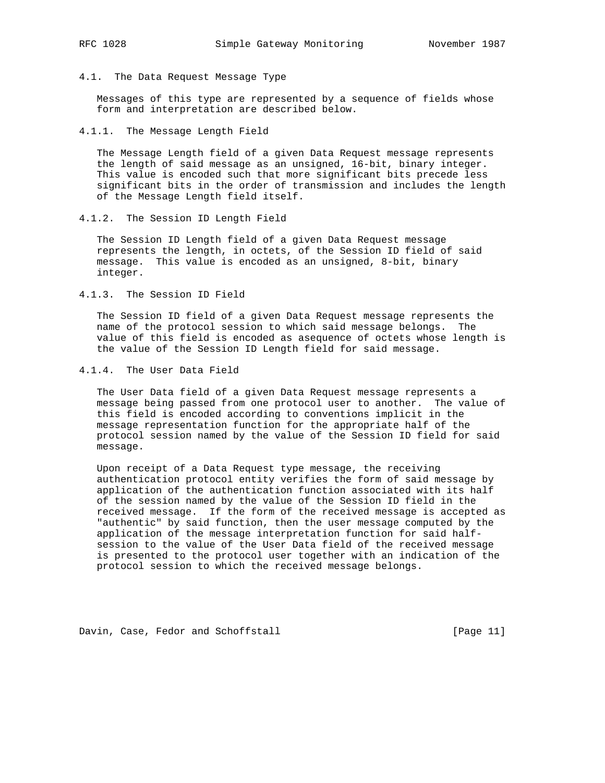4.1. The Data Request Message Type

 Messages of this type are represented by a sequence of fields whose form and interpretation are described below.

4.1.1. The Message Length Field

 The Message Length field of a given Data Request message represents the length of said message as an unsigned, 16-bit, binary integer. This value is encoded such that more significant bits precede less significant bits in the order of transmission and includes the length of the Message Length field itself.

4.1.2. The Session ID Length Field

 The Session ID Length field of a given Data Request message represents the length, in octets, of the Session ID field of said message. This value is encoded as an unsigned, 8-bit, binary integer.

4.1.3. The Session ID Field

 The Session ID field of a given Data Request message represents the name of the protocol session to which said message belongs. The value of this field is encoded as asequence of octets whose length is the value of the Session ID Length field for said message.

4.1.4. The User Data Field

 The User Data field of a given Data Request message represents a message being passed from one protocol user to another. The value of this field is encoded according to conventions implicit in the message representation function for the appropriate half of the protocol session named by the value of the Session ID field for said message.

 Upon receipt of a Data Request type message, the receiving authentication protocol entity verifies the form of said message by application of the authentication function associated with its half of the session named by the value of the Session ID field in the received message. If the form of the received message is accepted as "authentic" by said function, then the user message computed by the application of the message interpretation function for said half session to the value of the User Data field of the received message is presented to the protocol user together with an indication of the protocol session to which the received message belongs.

Davin, Case, Fedor and Schoffstall [Page 11]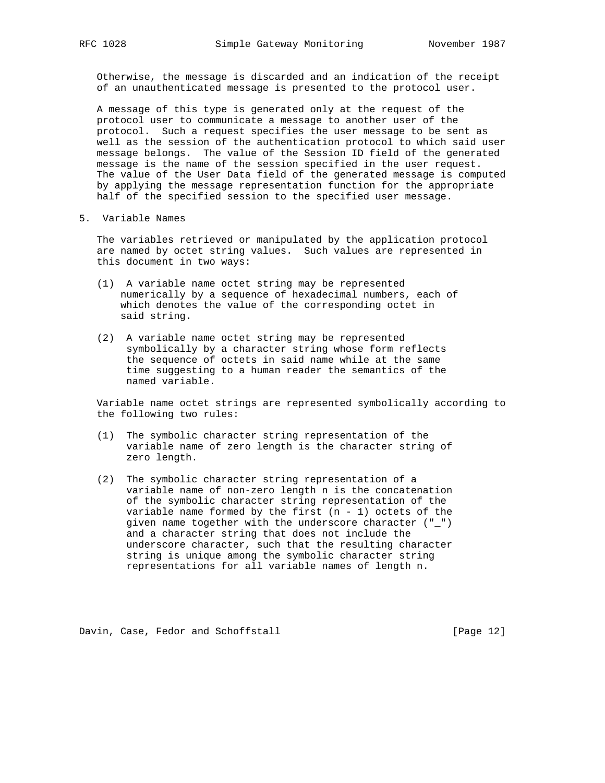Otherwise, the message is discarded and an indication of the receipt of an unauthenticated message is presented to the protocol user.

 A message of this type is generated only at the request of the protocol user to communicate a message to another user of the protocol. Such a request specifies the user message to be sent as well as the session of the authentication protocol to which said user message belongs. The value of the Session ID field of the generated message is the name of the session specified in the user request. The value of the User Data field of the generated message is computed by applying the message representation function for the appropriate half of the specified session to the specified user message.

5. Variable Names

 The variables retrieved or manipulated by the application protocol are named by octet string values. Such values are represented in this document in two ways:

- (1) A variable name octet string may be represented numerically by a sequence of hexadecimal numbers, each of which denotes the value of the corresponding octet in said string.
- (2) A variable name octet string may be represented symbolically by a character string whose form reflects the sequence of octets in said name while at the same time suggesting to a human reader the semantics of the named variable.

 Variable name octet strings are represented symbolically according to the following two rules:

- (1) The symbolic character string representation of the variable name of zero length is the character string of zero length.
- (2) The symbolic character string representation of a variable name of non-zero length n is the concatenation of the symbolic character string representation of the variable name formed by the first  $(n - 1)$  octets of the given name together with the underscore character ("\_") and a character string that does not include the underscore character, such that the resulting character string is unique among the symbolic character string representations for all variable names of length n.

Davin, Case, Fedor and Schoffstall [Page 12]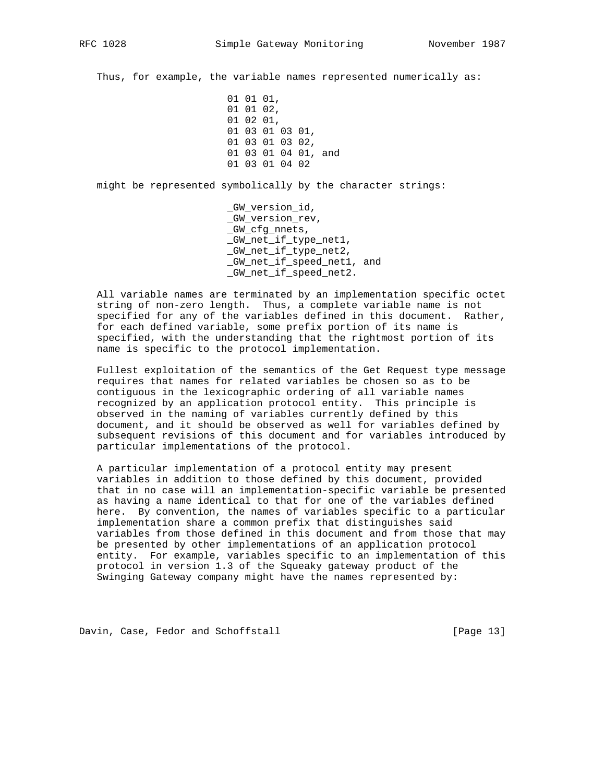Thus, for example, the variable names represented numerically as:

 01 01 01, 01 01 02, 01 02 01, 01 03 01 03 01, 01 03 01 03 02, 01 03 01 04 01, and 01 03 01 04 02

might be represented symbolically by the character strings:

 \_GW\_version\_id, \_GW\_version\_rev, \_GW\_cfg\_nnets, \_GW\_net\_if\_type\_net1, \_GW\_net\_if\_type\_net2, \_GW\_net\_if\_speed\_net1, and \_GW\_net\_if\_speed\_net2.

 All variable names are terminated by an implementation specific octet string of non-zero length. Thus, a complete variable name is not specified for any of the variables defined in this document. Rather, for each defined variable, some prefix portion of its name is specified, with the understanding that the rightmost portion of its name is specific to the protocol implementation.

 Fullest exploitation of the semantics of the Get Request type message requires that names for related variables be chosen so as to be contiguous in the lexicographic ordering of all variable names recognized by an application protocol entity. This principle is observed in the naming of variables currently defined by this document, and it should be observed as well for variables defined by subsequent revisions of this document and for variables introduced by particular implementations of the protocol.

 A particular implementation of a protocol entity may present variables in addition to those defined by this document, provided that in no case will an implementation-specific variable be presented as having a name identical to that for one of the variables defined here. By convention, the names of variables specific to a particular implementation share a common prefix that distinguishes said variables from those defined in this document and from those that may be presented by other implementations of an application protocol entity. For example, variables specific to an implementation of this protocol in version 1.3 of the Squeaky gateway product of the Swinging Gateway company might have the names represented by:

Davin, Case, Fedor and Schoffstall [Page 13]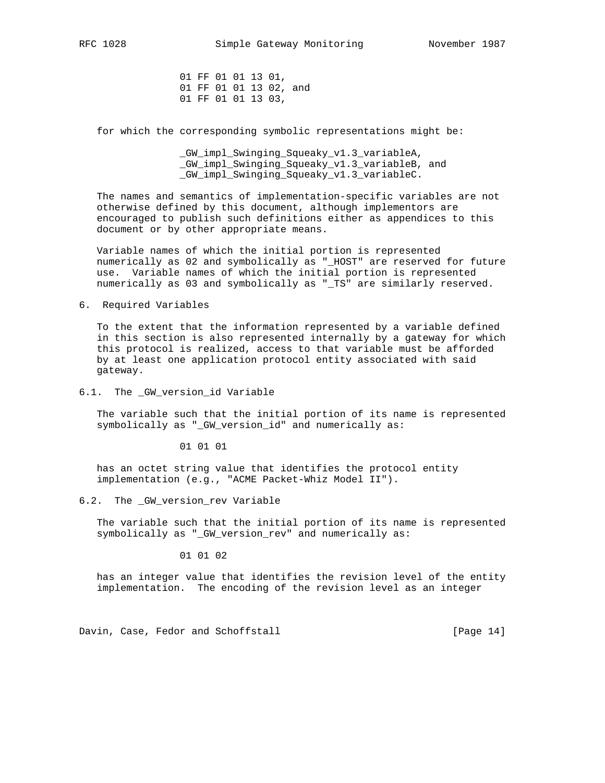01 FF 01 01 13 01, 01 FF 01 01 13 02, and 01 FF 01 01 13 03,

for which the corresponding symbolic representations might be:

 \_GW\_impl\_Swinging\_Squeaky\_v1.3\_variableA, \_GW\_impl\_Swinging\_Squeaky\_v1.3\_variableB, and \_GW\_impl\_Swinging\_Squeaky\_v1.3\_variableC.

 The names and semantics of implementation-specific variables are not otherwise defined by this document, although implementors are encouraged to publish such definitions either as appendices to this document or by other appropriate means.

 Variable names of which the initial portion is represented numerically as 02 and symbolically as "\_HOST" are reserved for future use. Variable names of which the initial portion is represented numerically as 03 and symbolically as "\_TS" are similarly reserved.

# 6. Required Variables

 To the extent that the information represented by a variable defined in this section is also represented internally by a gateway for which this protocol is realized, access to that variable must be afforded by at least one application protocol entity associated with said gateway.

6.1. The \_GW\_version\_id Variable

 The variable such that the initial portion of its name is represented symbolically as "\_GW\_version\_id" and numerically as:

01 01 01

 has an octet string value that identifies the protocol entity implementation (e.g., "ACME Packet-Whiz Model II").

6.2. The \_GW\_version\_rev Variable

 The variable such that the initial portion of its name is represented symbolically as "\_GW\_version\_rev" and numerically as:

01 01 02

 has an integer value that identifies the revision level of the entity implementation. The encoding of the revision level as an integer

Davin, Case, Fedor and Schoffstall [Page 14]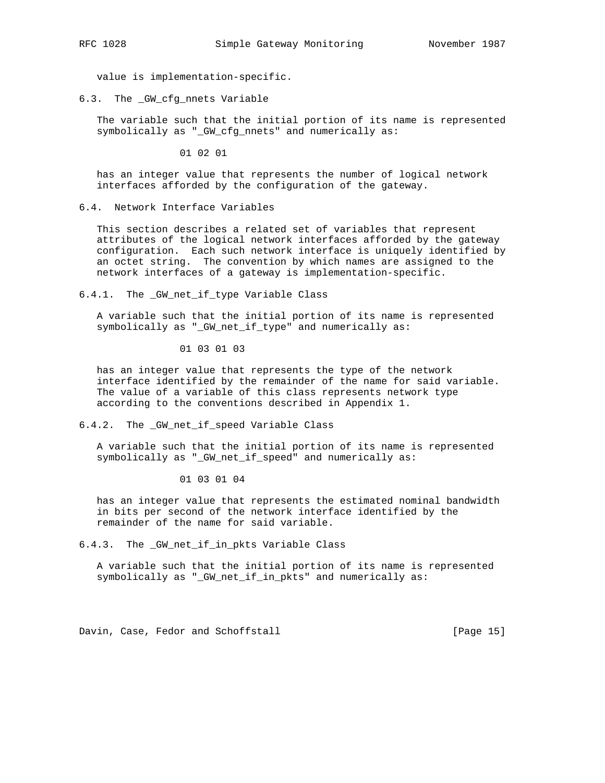value is implementation-specific.

6.3. The \_GW\_cfg\_nnets Variable

 The variable such that the initial portion of its name is represented symbolically as "\_GW\_cfg\_nnets" and numerically as:

01 02 01

 has an integer value that represents the number of logical network interfaces afforded by the configuration of the gateway.

6.4. Network Interface Variables

 This section describes a related set of variables that represent attributes of the logical network interfaces afforded by the gateway configuration. Each such network interface is uniquely identified by an octet string. The convention by which names are assigned to the network interfaces of a gateway is implementation-specific.

6.4.1. The \_GW\_net\_if\_type Variable Class

 A variable such that the initial portion of its name is represented symbolically as "\_GW\_net\_if\_type" and numerically as:

01 03 01 03

 has an integer value that represents the type of the network interface identified by the remainder of the name for said variable. The value of a variable of this class represents network type according to the conventions described in Appendix 1.

6.4.2. The \_GW\_net\_if\_speed Variable Class

 A variable such that the initial portion of its name is represented symbolically as "\_GW\_net\_if\_speed" and numerically as:

01 03 01 04

 has an integer value that represents the estimated nominal bandwidth in bits per second of the network interface identified by the remainder of the name for said variable.

6.4.3. The \_GW\_net\_if\_in\_pkts Variable Class

 A variable such that the initial portion of its name is represented symbolically as "\_GW\_net\_if\_in\_pkts" and numerically as:

Davin, Case, Fedor and Schoffstall [Page 15]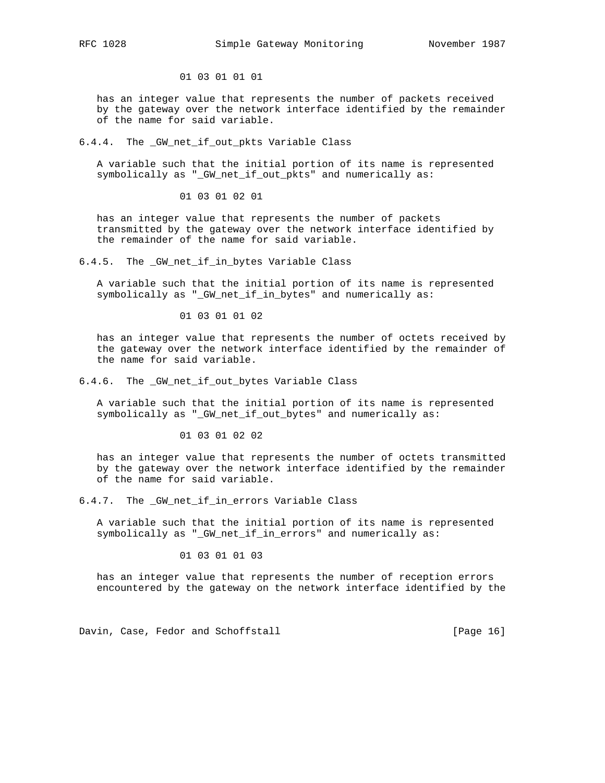01 03 01 01 01

 has an integer value that represents the number of packets received by the gateway over the network interface identified by the remainder of the name for said variable.

### 6.4.4. The \_GW\_net\_if\_out\_pkts Variable Class

 A variable such that the initial portion of its name is represented symbolically as "\_GW\_net\_if\_out\_pkts" and numerically as:

01 03 01 02 01

 has an integer value that represents the number of packets transmitted by the gateway over the network interface identified by the remainder of the name for said variable.

6.4.5. The \_GW\_net\_if\_in\_bytes Variable Class

 A variable such that the initial portion of its name is represented symbolically as "\_GW\_net\_if\_in\_bytes" and numerically as:

01 03 01 01 02

 has an integer value that represents the number of octets received by the gateway over the network interface identified by the remainder of the name for said variable.

6.4.6. The \_GW\_net\_if\_out\_bytes Variable Class

 A variable such that the initial portion of its name is represented symbolically as "\_GW\_net\_if\_out\_bytes" and numerically as:

01 03 01 02 02

 has an integer value that represents the number of octets transmitted by the gateway over the network interface identified by the remainder of the name for said variable.

6.4.7. The \_GW\_net\_if\_in\_errors Variable Class

 A variable such that the initial portion of its name is represented symbolically as "\_GW\_net\_if\_in\_errors" and numerically as:

01 03 01 01 03

 has an integer value that represents the number of reception errors encountered by the gateway on the network interface identified by the

Davin, Case, Fedor and Schoffstall [Page 16]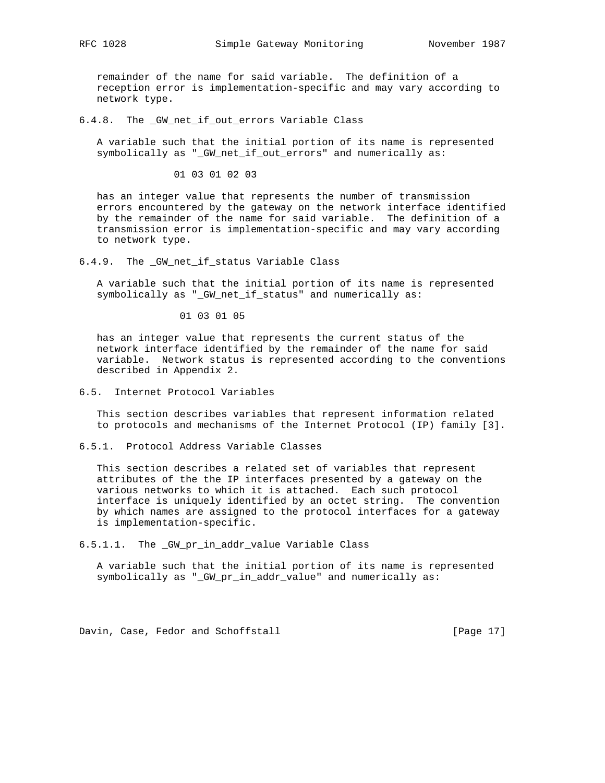remainder of the name for said variable. The definition of a reception error is implementation-specific and may vary according to network type.

6.4.8. The \_GW\_net\_if\_out\_errors Variable Class

 A variable such that the initial portion of its name is represented symbolically as "\_GW\_net\_if\_out\_errors" and numerically as:

01 03 01 02 03

 has an integer value that represents the number of transmission errors encountered by the gateway on the network interface identified by the remainder of the name for said variable. The definition of a transmission error is implementation-specific and may vary according to network type.

6.4.9. The \_GW\_net\_if\_status Variable Class

 A variable such that the initial portion of its name is represented symbolically as "\_GW\_net\_if\_status" and numerically as:

01 03 01 05

 has an integer value that represents the current status of the network interface identified by the remainder of the name for said variable. Network status is represented according to the conventions described in Appendix 2.

6.5. Internet Protocol Variables

 This section describes variables that represent information related to protocols and mechanisms of the Internet Protocol (IP) family [3].

6.5.1. Protocol Address Variable Classes

 This section describes a related set of variables that represent attributes of the the IP interfaces presented by a gateway on the various networks to which it is attached. Each such protocol interface is uniquely identified by an octet string. The convention by which names are assigned to the protocol interfaces for a gateway is implementation-specific.

6.5.1.1. The \_GW\_pr\_in\_addr\_value Variable Class

 A variable such that the initial portion of its name is represented symbolically as "\_GW\_pr\_in\_addr\_value" and numerically as:

Davin, Case, Fedor and Schoffstall [Page 17]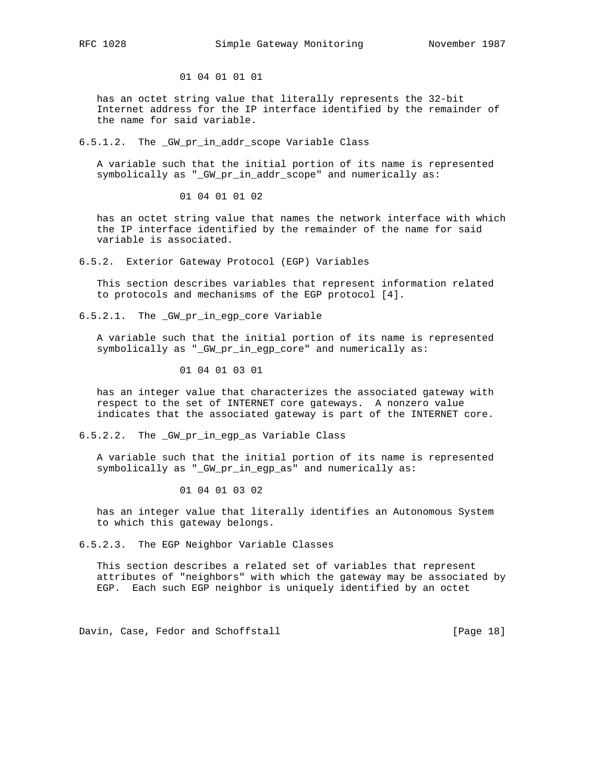01 04 01 01 01

 has an octet string value that literally represents the 32-bit Internet address for the IP interface identified by the remainder of the name for said variable.

6.5.1.2. The \_GW\_pr\_in\_addr\_scope Variable Class

 A variable such that the initial portion of its name is represented symbolically as "\_GW\_pr\_in\_addr\_scope" and numerically as:

01 04 01 01 02

 has an octet string value that names the network interface with which the IP interface identified by the remainder of the name for said variable is associated.

6.5.2. Exterior Gateway Protocol (EGP) Variables

 This section describes variables that represent information related to protocols and mechanisms of the EGP protocol [4].

6.5.2.1. The \_GW\_pr\_in\_egp\_core Variable

 A variable such that the initial portion of its name is represented symbolically as "\_GW\_pr\_in\_egp\_core" and numerically as:

01 04 01 03 01

 has an integer value that characterizes the associated gateway with respect to the set of INTERNET core gateways. A nonzero value indicates that the associated gateway is part of the INTERNET core.

6.5.2.2. The \_GW\_pr\_in\_egp\_as Variable Class

 A variable such that the initial portion of its name is represented symbolically as "\_GW\_pr\_in\_egp\_as" and numerically as:

01 04 01 03 02

 has an integer value that literally identifies an Autonomous System to which this gateway belongs.

6.5.2.3. The EGP Neighbor Variable Classes

 This section describes a related set of variables that represent attributes of "neighbors" with which the gateway may be associated by EGP. Each such EGP neighbor is uniquely identified by an octet

Davin, Case, Fedor and Schoffstall [Page 18]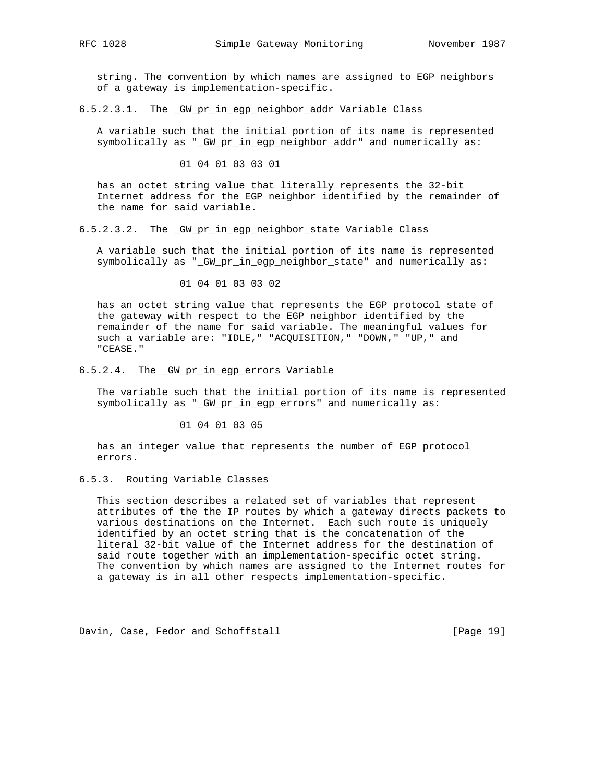string. The convention by which names are assigned to EGP neighbors of a gateway is implementation-specific.

6.5.2.3.1. The \_GW\_pr\_in\_egp\_neighbor\_addr Variable Class

 A variable such that the initial portion of its name is represented symbolically as "\_GW\_pr\_in\_egp\_neighbor\_addr" and numerically as:

01 04 01 03 03 01

 has an octet string value that literally represents the 32-bit Internet address for the EGP neighbor identified by the remainder of the name for said variable.

6.5.2.3.2. The \_GW\_pr\_in\_egp\_neighbor\_state Variable Class

 A variable such that the initial portion of its name is represented symbolically as "\_GW\_pr\_in\_egp\_neighbor\_state" and numerically as:

01 04 01 03 03 02

 has an octet string value that represents the EGP protocol state of the gateway with respect to the EGP neighbor identified by the remainder of the name for said variable. The meaningful values for such a variable are: "IDLE," "ACQUISITION," "DOWN," "UP," and "CEASE."

6.5.2.4. The GW pr in eqp errors Variable

 The variable such that the initial portion of its name is represented symbolically as "\_GW\_pr\_in\_egp\_errors" and numerically as:

01 04 01 03 05

 has an integer value that represents the number of EGP protocol errors.

# 6.5.3. Routing Variable Classes

 This section describes a related set of variables that represent attributes of the the IP routes by which a gateway directs packets to various destinations on the Internet. Each such route is uniquely identified by an octet string that is the concatenation of the literal 32-bit value of the Internet address for the destination of said route together with an implementation-specific octet string. The convention by which names are assigned to the Internet routes for a gateway is in all other respects implementation-specific.

Davin, Case, Fedor and Schoffstall [Page 19]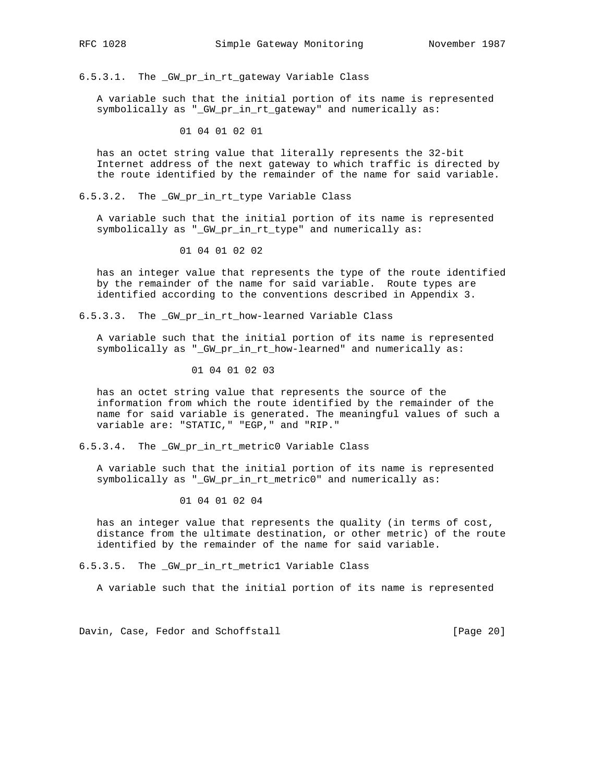6.5.3.1. The \_GW\_pr\_in\_rt\_gateway Variable Class

 A variable such that the initial portion of its name is represented symbolically as "\_GW\_pr\_in\_rt\_gateway" and numerically as:

01 04 01 02 01

 has an octet string value that literally represents the 32-bit Internet address of the next gateway to which traffic is directed by the route identified by the remainder of the name for said variable.

6.5.3.2. The \_GW\_pr\_in\_rt\_type Variable Class

 A variable such that the initial portion of its name is represented symbolically as "\_GW\_pr\_in\_rt\_type" and numerically as:

01 04 01 02 02

 has an integer value that represents the type of the route identified by the remainder of the name for said variable. Route types are identified according to the conventions described in Appendix 3.

6.5.3.3. The \_GW\_pr\_in\_rt\_how-learned Variable Class

 A variable such that the initial portion of its name is represented symbolically as "\_GW\_pr\_in\_rt\_how-learned" and numerically as:

01 04 01 02 03

 has an octet string value that represents the source of the information from which the route identified by the remainder of the name for said variable is generated. The meaningful values of such a variable are: "STATIC," "EGP," and "RIP."

6.5.3.4. The \_GW\_pr\_in\_rt\_metric0 Variable Class

 A variable such that the initial portion of its name is represented symbolically as "\_GW\_pr\_in\_rt\_metric0" and numerically as:

01 04 01 02 04

 has an integer value that represents the quality (in terms of cost, distance from the ultimate destination, or other metric) of the route identified by the remainder of the name for said variable.

6.5.3.5. The \_GW\_pr\_in\_rt\_metric1 Variable Class

A variable such that the initial portion of its name is represented

Davin, Case, Fedor and Schoffstall [Page 20]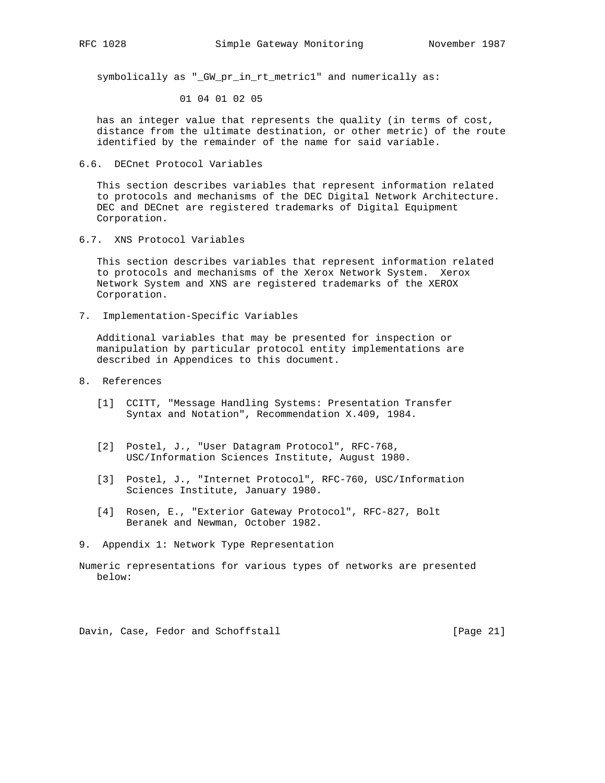symbolically as "\_GW\_pr\_in\_rt\_metric1" and numerically as:

01 04 01 02 05

 has an integer value that represents the quality (in terms of cost, distance from the ultimate destination, or other metric) of the route identified by the remainder of the name for said variable.

6.6. DECnet Protocol Variables

 This section describes variables that represent information related to protocols and mechanisms of the DEC Digital Network Architecture. DEC and DECnet are registered trademarks of Digital Equipment Corporation.

6.7. XNS Protocol Variables

 This section describes variables that represent information related to protocols and mechanisms of the Xerox Network System. Xerox Network System and XNS are registered trademarks of the XEROX Corporation.

7. Implementation-Specific Variables

 Additional variables that may be presented for inspection or manipulation by particular protocol entity implementations are described in Appendices to this document.

- 8. References
	- [1] CCITT, "Message Handling Systems: Presentation Transfer Syntax and Notation", Recommendation X.409, 1984.
	- [2] Postel, J., "User Datagram Protocol", RFC-768, USC/Information Sciences Institute, August 1980.
	- [3] Postel, J., "Internet Protocol", RFC-760, USC/Information Sciences Institute, January 1980.
	- [4] Rosen, E., "Exterior Gateway Protocol", RFC-827, Bolt Beranek and Newman, October 1982.
- 9. Appendix 1: Network Type Representation

Davin, Case, Fedor and Schoffstall [Page 21]

Numeric representations for various types of networks are presented below: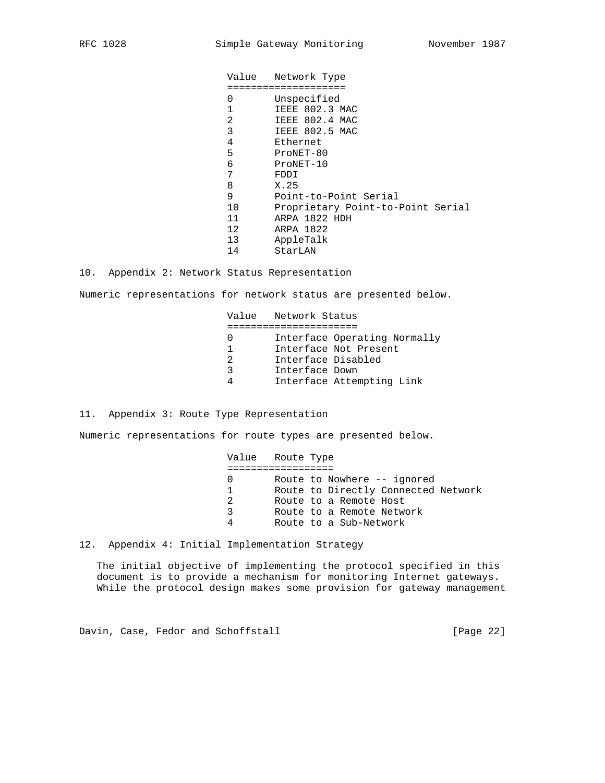Value Network Type ==================== 0 Unspecified 1 IEEE 802.3 MAC<br>2 IEEE 802.4 MAC 2 IEEE 802.4 MAC<br>3 IEEE 802.5 MAC 3 IEEE 802.5 MAC<br>4 Ethernet Ethernet 5 ProNET-80 6 ProNET-10 7 FDDI 8 X.25 9 Point-to-Point Serial<br>10 Proprietary Point-to-Proprietary Point-to-Point Serial 11 ARPA 1822 HDH 12 ARPA 1822 13 AppleTalk 14 StarLAN

10. Appendix 2: Network Status Representation

Numeric representations for network status are presented below.

 Value Network Status ====================== 0 Interface Operating Normally 1 Interface Not Present 2 Interface Disabled 3 Interface Down 4 Interface Attempting Link

11. Appendix 3: Route Type Representation

Numeric representations for route types are presented below.

 Value Route Type ================== 0 Route to Nowhere -- ignored 1 Route to Directly Connected Network 2 Route to a Remote Host 3 Route to a Remote Network 4 Route to a Sub-Network

12. Appendix 4: Initial Implementation Strategy

 The initial objective of implementing the protocol specified in this document is to provide a mechanism for monitoring Internet gateways. While the protocol design makes some provision for gateway management

Davin, Case, Fedor and Schoffstall [Page 22]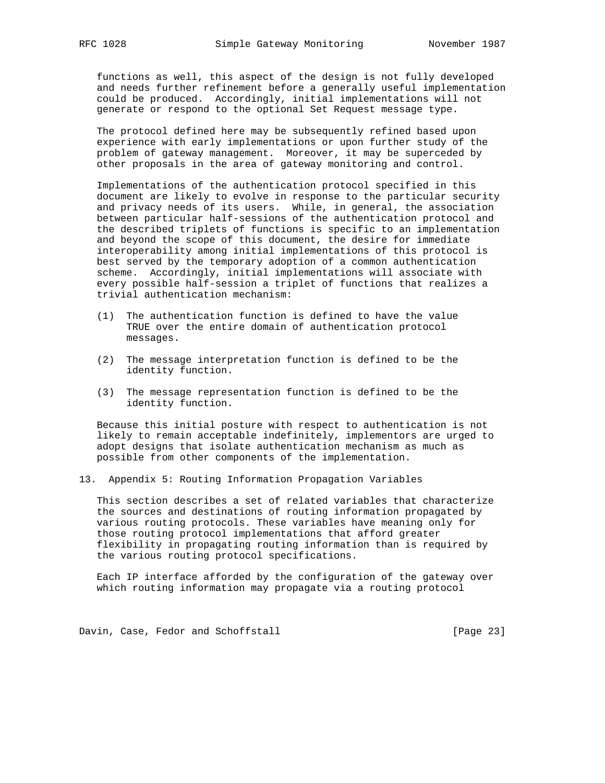functions as well, this aspect of the design is not fully developed and needs further refinement before a generally useful implementation could be produced. Accordingly, initial implementations will not generate or respond to the optional Set Request message type.

 The protocol defined here may be subsequently refined based upon experience with early implementations or upon further study of the problem of gateway management. Moreover, it may be superceded by other proposals in the area of gateway monitoring and control.

 Implementations of the authentication protocol specified in this document are likely to evolve in response to the particular security and privacy needs of its users. While, in general, the association between particular half-sessions of the authentication protocol and the described triplets of functions is specific to an implementation and beyond the scope of this document, the desire for immediate interoperability among initial implementations of this protocol is best served by the temporary adoption of a common authentication scheme. Accordingly, initial implementations will associate with every possible half-session a triplet of functions that realizes a trivial authentication mechanism:

- (1) The authentication function is defined to have the value TRUE over the entire domain of authentication protocol messages.
- (2) The message interpretation function is defined to be the identity function.
- (3) The message representation function is defined to be the identity function.

 Because this initial posture with respect to authentication is not likely to remain acceptable indefinitely, implementors are urged to adopt designs that isolate authentication mechanism as much as possible from other components of the implementation.

13. Appendix 5: Routing Information Propagation Variables

 This section describes a set of related variables that characterize the sources and destinations of routing information propagated by various routing protocols. These variables have meaning only for those routing protocol implementations that afford greater flexibility in propagating routing information than is required by the various routing protocol specifications.

 Each IP interface afforded by the configuration of the gateway over which routing information may propagate via a routing protocol

Davin, Case, Fedor and Schoffstall [Page 23]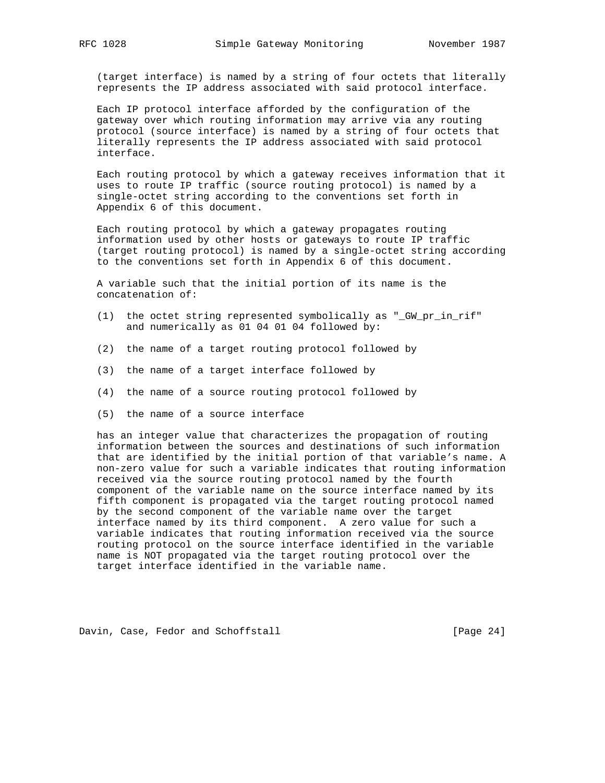(target interface) is named by a string of four octets that literally represents the IP address associated with said protocol interface.

 Each IP protocol interface afforded by the configuration of the gateway over which routing information may arrive via any routing protocol (source interface) is named by a string of four octets that literally represents the IP address associated with said protocol interface.

 Each routing protocol by which a gateway receives information that it uses to route IP traffic (source routing protocol) is named by a single-octet string according to the conventions set forth in Appendix 6 of this document.

 Each routing protocol by which a gateway propagates routing information used by other hosts or gateways to route IP traffic (target routing protocol) is named by a single-octet string according to the conventions set forth in Appendix 6 of this document.

 A variable such that the initial portion of its name is the concatenation of:

- (1) the octet string represented symbolically as "\_GW\_pr\_in\_rif" and numerically as 01 04 01 04 followed by:
- (2) the name of a target routing protocol followed by
- (3) the name of a target interface followed by
- (4) the name of a source routing protocol followed by
- (5) the name of a source interface

 has an integer value that characterizes the propagation of routing information between the sources and destinations of such information that are identified by the initial portion of that variable's name. A non-zero value for such a variable indicates that routing information received via the source routing protocol named by the fourth component of the variable name on the source interface named by its fifth component is propagated via the target routing protocol named by the second component of the variable name over the target interface named by its third component. A zero value for such a variable indicates that routing information received via the source routing protocol on the source interface identified in the variable name is NOT propagated via the target routing protocol over the target interface identified in the variable name.

Davin, Case, Fedor and Schoffstall [Page 24]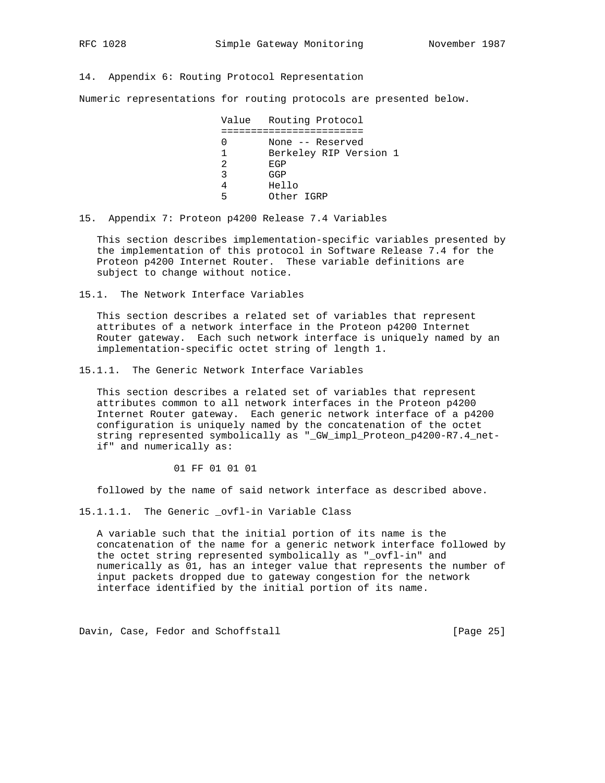14. Appendix 6: Routing Protocol Representation

Numeric representations for routing protocols are presented below.

 Value Routing Protocol ======================== 0 None -- Reserved 1 Berkeley RIP Version 1 2 EGP 3 GGP 4 Hello 5 Other IGRP

15. Appendix 7: Proteon p4200 Release 7.4 Variables

 This section describes implementation-specific variables presented by the implementation of this protocol in Software Release 7.4 for the Proteon p4200 Internet Router. These variable definitions are subject to change without notice.

15.1. The Network Interface Variables

 This section describes a related set of variables that represent attributes of a network interface in the Proteon p4200 Internet Router gateway. Each such network interface is uniquely named by an implementation-specific octet string of length 1.

15.1.1. The Generic Network Interface Variables

 This section describes a related set of variables that represent attributes common to all network interfaces in the Proteon p4200 Internet Router gateway. Each generic network interface of a p4200 configuration is uniquely named by the concatenation of the octet string represented symbolically as "\_GW\_impl\_Proteon\_p4200-R7.4\_net if" and numerically as:

01 FF 01 01 01

followed by the name of said network interface as described above.

15.1.1.1. The Generic \_ovfl-in Variable Class

 A variable such that the initial portion of its name is the concatenation of the name for a generic network interface followed by the octet string represented symbolically as "\_ovfl-in" and numerically as 01, has an integer value that represents the number of input packets dropped due to gateway congestion for the network interface identified by the initial portion of its name.

Davin, Case, Fedor and Schoffstall [Page 25]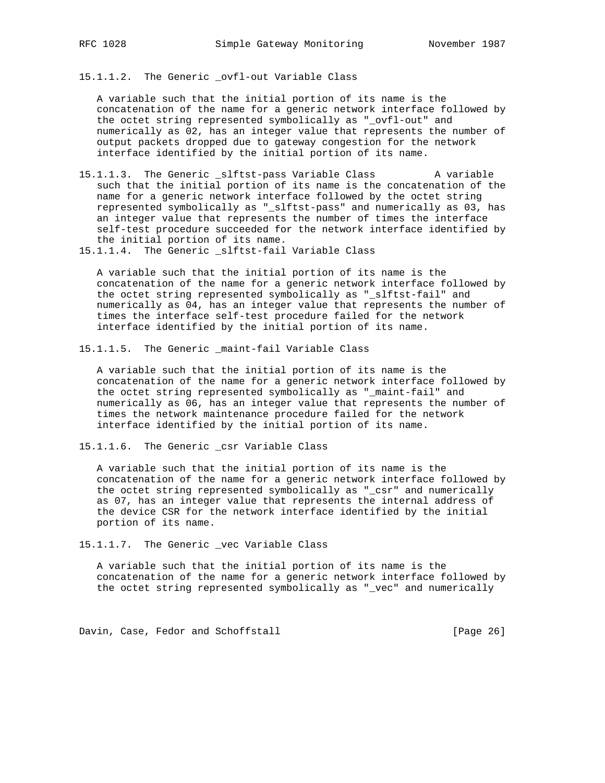15.1.1.2. The Generic \_ovfl-out Variable Class

 A variable such that the initial portion of its name is the concatenation of the name for a generic network interface followed by the octet string represented symbolically as "\_ovfl-out" and numerically as 02, has an integer value that represents the number of output packets dropped due to gateway congestion for the network interface identified by the initial portion of its name.

- 15.1.1.3. The Generic \_slftst-pass Variable Class A variable such that the initial portion of its name is the concatenation of the name for a generic network interface followed by the octet string represented symbolically as "\_slftst-pass" and numerically as 03, has an integer value that represents the number of times the interface self-test procedure succeeded for the network interface identified by the initial portion of its name.
- 15.1.1.4. The Generic \_slftst-fail Variable Class

 A variable such that the initial portion of its name is the concatenation of the name for a generic network interface followed by the octet string represented symbolically as "\_slftst-fail" and numerically as 04, has an integer value that represents the number of times the interface self-test procedure failed for the network interface identified by the initial portion of its name.

15.1.1.5. The Generic \_maint-fail Variable Class

 A variable such that the initial portion of its name is the concatenation of the name for a generic network interface followed by the octet string represented symbolically as "\_maint-fail" and numerically as 06, has an integer value that represents the number of times the network maintenance procedure failed for the network interface identified by the initial portion of its name.

15.1.1.6. The Generic \_csr Variable Class

 A variable such that the initial portion of its name is the concatenation of the name for a generic network interface followed by the octet string represented symbolically as "\_csr" and numerically as 07, has an integer value that represents the internal address of the device CSR for the network interface identified by the initial portion of its name.

15.1.1.7. The Generic \_vec Variable Class

 A variable such that the initial portion of its name is the concatenation of the name for a generic network interface followed by the octet string represented symbolically as "\_vec" and numerically

Davin, Case, Fedor and Schoffstall [Page 26]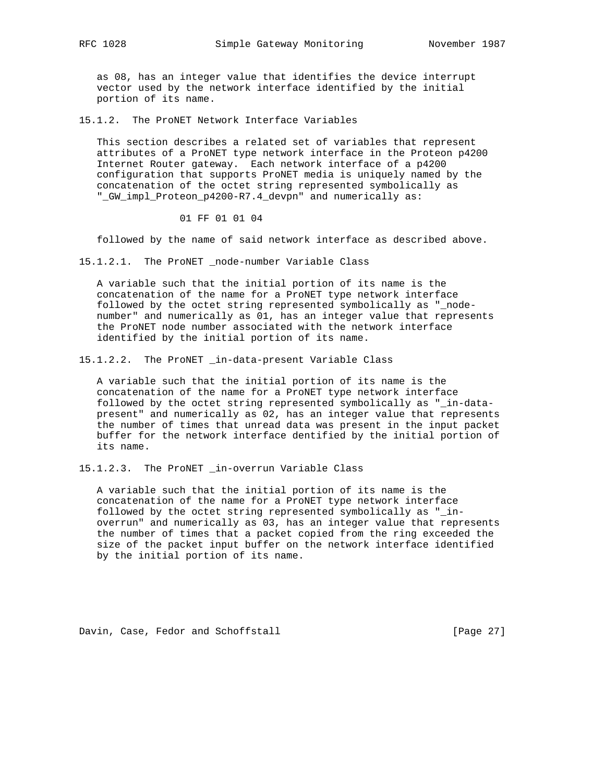as 08, has an integer value that identifies the device interrupt vector used by the network interface identified by the initial portion of its name.

15.1.2. The ProNET Network Interface Variables

 This section describes a related set of variables that represent attributes of a ProNET type network interface in the Proteon p4200 Internet Router gateway. Each network interface of a p4200 configuration that supports ProNET media is uniquely named by the concatenation of the octet string represented symbolically as "\_GW\_impl\_Proteon\_p4200-R7.4\_devpn" and numerically as:

01 FF 01 01 04

followed by the name of said network interface as described above.

15.1.2.1. The ProNET \_node-number Variable Class

 A variable such that the initial portion of its name is the concatenation of the name for a ProNET type network interface followed by the octet string represented symbolically as "\_node number" and numerically as 01, has an integer value that represents the ProNET node number associated with the network interface identified by the initial portion of its name.

15.1.2.2. The ProNET \_in-data-present Variable Class

 A variable such that the initial portion of its name is the concatenation of the name for a ProNET type network interface followed by the octet string represented symbolically as "\_in-data present" and numerically as 02, has an integer value that represents the number of times that unread data was present in the input packet buffer for the network interface dentified by the initial portion of its name.

15.1.2.3. The ProNET \_in-overrun Variable Class

 A variable such that the initial portion of its name is the concatenation of the name for a ProNET type network interface followed by the octet string represented symbolically as "\_in overrun" and numerically as 03, has an integer value that represents the number of times that a packet copied from the ring exceeded the size of the packet input buffer on the network interface identified by the initial portion of its name.

Davin, Case, Fedor and Schoffstall [Page 27]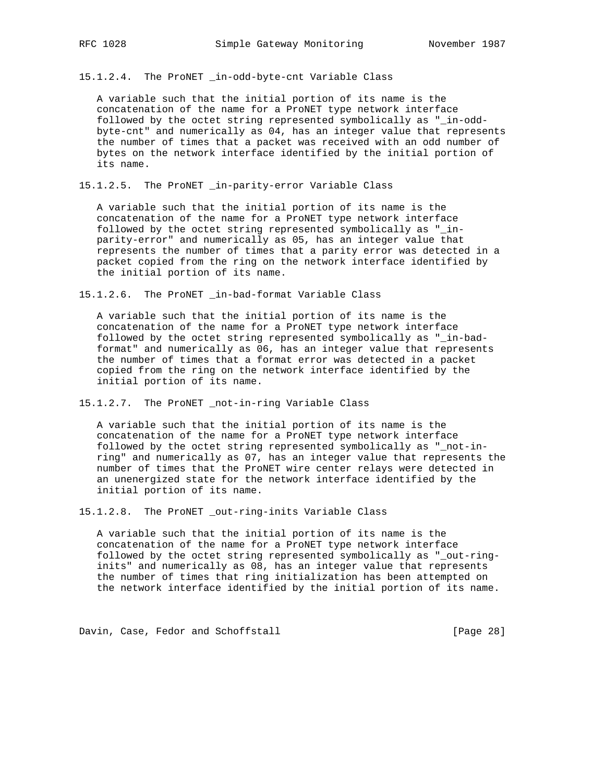15.1.2.4. The ProNET \_in-odd-byte-cnt Variable Class

 A variable such that the initial portion of its name is the concatenation of the name for a ProNET type network interface followed by the octet string represented symbolically as "\_in-odd byte-cnt" and numerically as 04, has an integer value that represents the number of times that a packet was received with an odd number of bytes on the network interface identified by the initial portion of its name.

15.1.2.5. The ProNET \_in-parity-error Variable Class

 A variable such that the initial portion of its name is the concatenation of the name for a ProNET type network interface followed by the octet string represented symbolically as "\_in parity-error" and numerically as 05, has an integer value that represents the number of times that a parity error was detected in a packet copied from the ring on the network interface identified by the initial portion of its name.

15.1.2.6. The ProNET \_in-bad-format Variable Class

 A variable such that the initial portion of its name is the concatenation of the name for a ProNET type network interface followed by the octet string represented symbolically as "\_in-bad format" and numerically as 06, has an integer value that represents the number of times that a format error was detected in a packet copied from the ring on the network interface identified by the initial portion of its name.

15.1.2.7. The ProNET \_not-in-ring Variable Class

 A variable such that the initial portion of its name is the concatenation of the name for a ProNET type network interface followed by the octet string represented symbolically as "\_not-in ring" and numerically as 07, has an integer value that represents the number of times that the ProNET wire center relays were detected in an unenergized state for the network interface identified by the initial portion of its name.

15.1.2.8. The ProNET \_out-ring-inits Variable Class

 A variable such that the initial portion of its name is the concatenation of the name for a ProNET type network interface followed by the octet string represented symbolically as "\_out-ring inits" and numerically as 08, has an integer value that represents the number of times that ring initialization has been attempted on the network interface identified by the initial portion of its name.

Davin, Case, Fedor and Schoffstall [Page 28]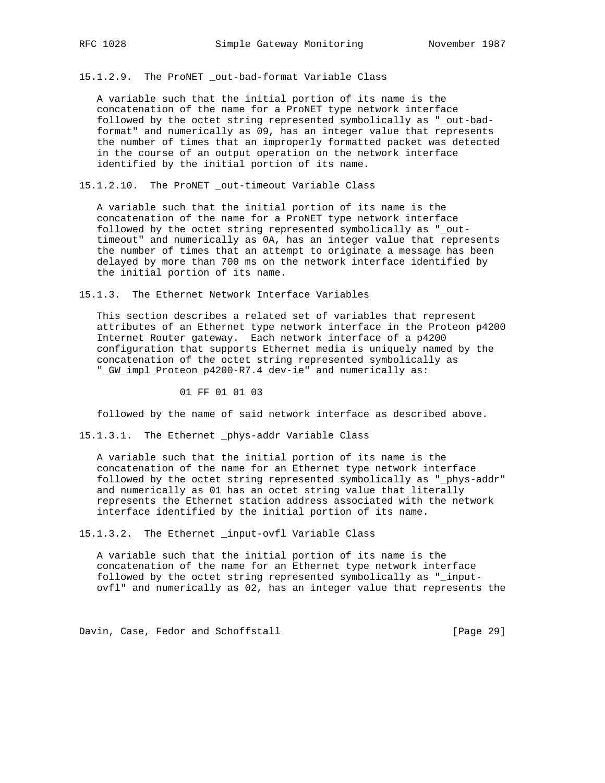15.1.2.9. The ProNET \_out-bad-format Variable Class

 A variable such that the initial portion of its name is the concatenation of the name for a ProNET type network interface followed by the octet string represented symbolically as "\_out-bad format" and numerically as 09, has an integer value that represents the number of times that an improperly formatted packet was detected in the course of an output operation on the network interface identified by the initial portion of its name.

15.1.2.10. The ProNET \_out-timeout Variable Class

 A variable such that the initial portion of its name is the concatenation of the name for a ProNET type network interface followed by the octet string represented symbolically as "\_out timeout" and numerically as 0A, has an integer value that represents the number of times that an attempt to originate a message has been delayed by more than 700 ms on the network interface identified by the initial portion of its name.

15.1.3. The Ethernet Network Interface Variables

 This section describes a related set of variables that represent attributes of an Ethernet type network interface in the Proteon p4200 Internet Router gateway. Each network interface of a p4200 configuration that supports Ethernet media is uniquely named by the concatenation of the octet string represented symbolically as "\_GW\_impl\_Proteon\_p4200-R7.4\_dev-ie" and numerically as:

01 FF 01 01 03

followed by the name of said network interface as described above.

15.1.3.1. The Ethernet \_phys-addr Variable Class

 A variable such that the initial portion of its name is the concatenation of the name for an Ethernet type network interface followed by the octet string represented symbolically as "\_phys-addr" and numerically as 01 has an octet string value that literally represents the Ethernet station address associated with the network interface identified by the initial portion of its name.

15.1.3.2. The Ethernet \_input-ovfl Variable Class

 A variable such that the initial portion of its name is the concatenation of the name for an Ethernet type network interface followed by the octet string represented symbolically as "\_input ovfl" and numerically as 02, has an integer value that represents the

Davin, Case, Fedor and Schoffstall [Page 29]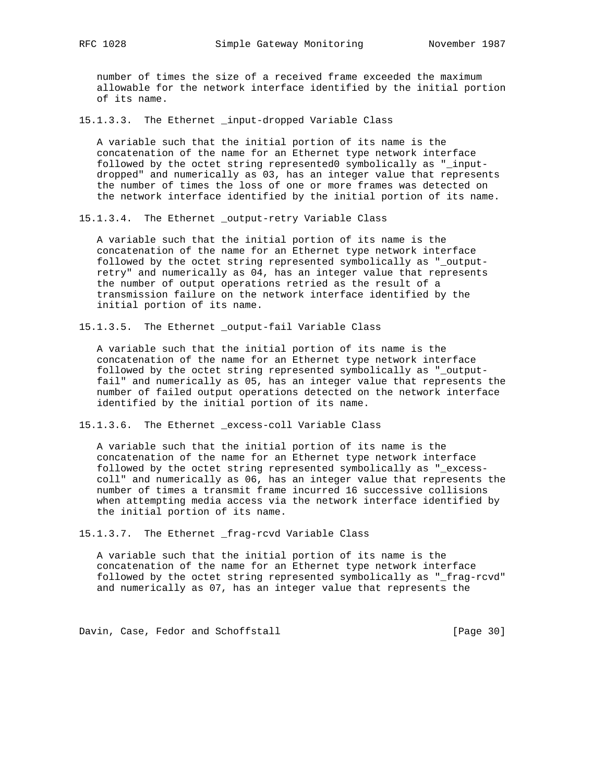number of times the size of a received frame exceeded the maximum allowable for the network interface identified by the initial portion of its name.

15.1.3.3. The Ethernet \_input-dropped Variable Class

 A variable such that the initial portion of its name is the concatenation of the name for an Ethernet type network interface followed by the octet string represented0 symbolically as "\_input dropped" and numerically as 03, has an integer value that represents the number of times the loss of one or more frames was detected on the network interface identified by the initial portion of its name.

15.1.3.4. The Ethernet \_output-retry Variable Class

 A variable such that the initial portion of its name is the concatenation of the name for an Ethernet type network interface followed by the octet string represented symbolically as "\_output retry" and numerically as 04, has an integer value that represents the number of output operations retried as the result of a transmission failure on the network interface identified by the initial portion of its name.

15.1.3.5. The Ethernet \_output-fail Variable Class

 A variable such that the initial portion of its name is the concatenation of the name for an Ethernet type network interface followed by the octet string represented symbolically as "\_output fail" and numerically as 05, has an integer value that represents the number of failed output operations detected on the network interface identified by the initial portion of its name.

15.1.3.6. The Ethernet \_excess-coll Variable Class

 A variable such that the initial portion of its name is the concatenation of the name for an Ethernet type network interface followed by the octet string represented symbolically as "\_excess coll" and numerically as 06, has an integer value that represents the number of times a transmit frame incurred 16 successive collisions when attempting media access via the network interface identified by the initial portion of its name.

15.1.3.7. The Ethernet \_frag-rcvd Variable Class

 A variable such that the initial portion of its name is the concatenation of the name for an Ethernet type network interface followed by the octet string represented symbolically as "\_frag-rcvd" and numerically as 07, has an integer value that represents the

Davin, Case, Fedor and Schoffstall [Page 30]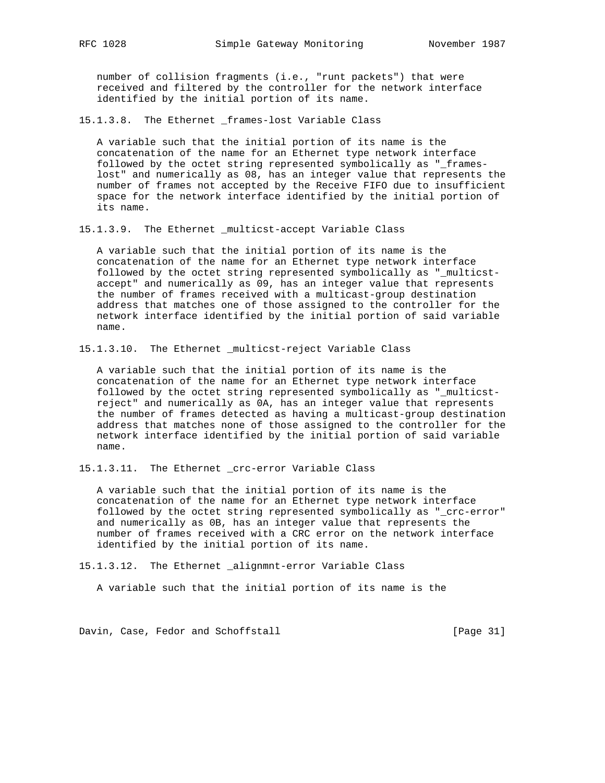number of collision fragments (i.e., "runt packets") that were received and filtered by the controller for the network interface identified by the initial portion of its name.

15.1.3.8. The Ethernet \_frames-lost Variable Class

 A variable such that the initial portion of its name is the concatenation of the name for an Ethernet type network interface followed by the octet string represented symbolically as "\_frames lost" and numerically as 08, has an integer value that represents the number of frames not accepted by the Receive FIFO due to insufficient space for the network interface identified by the initial portion of its name.

15.1.3.9. The Ethernet \_multicst-accept Variable Class

 A variable such that the initial portion of its name is the concatenation of the name for an Ethernet type network interface followed by the octet string represented symbolically as "\_multicst accept" and numerically as 09, has an integer value that represents the number of frames received with a multicast-group destination address that matches one of those assigned to the controller for the network interface identified by the initial portion of said variable name.

15.1.3.10. The Ethernet \_multicst-reject Variable Class

 A variable such that the initial portion of its name is the concatenation of the name for an Ethernet type network interface followed by the octet string represented symbolically as "\_multicst reject" and numerically as 0A, has an integer value that represents the number of frames detected as having a multicast-group destination address that matches none of those assigned to the controller for the network interface identified by the initial portion of said variable name.

15.1.3.11. The Ethernet \_crc-error Variable Class

 A variable such that the initial portion of its name is the concatenation of the name for an Ethernet type network interface followed by the octet string represented symbolically as "\_crc-error" and numerically as 0B, has an integer value that represents the number of frames received with a CRC error on the network interface identified by the initial portion of its name.

15.1.3.12. The Ethernet \_alignmnt-error Variable Class

A variable such that the initial portion of its name is the

Davin, Case, Fedor and Schoffstall [Page 31]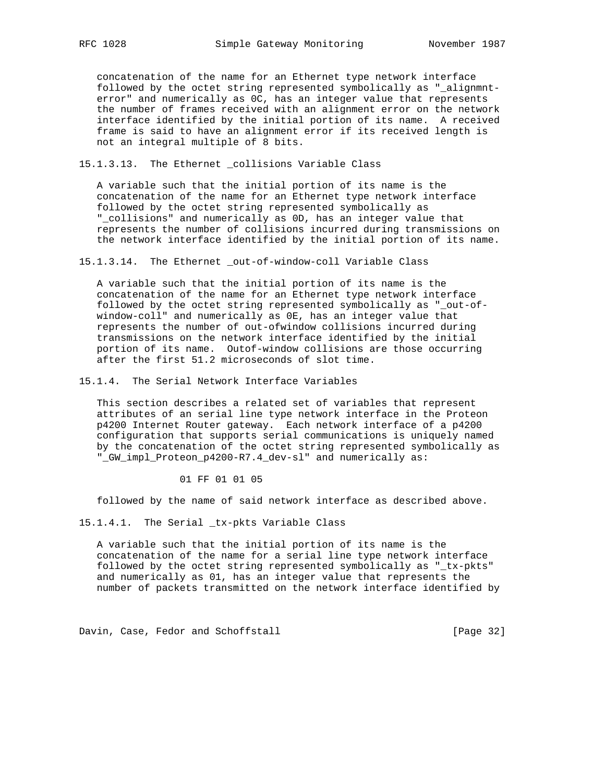concatenation of the name for an Ethernet type network interface followed by the octet string represented symbolically as "\_alignmnt error" and numerically as OC, has an integer value that represents the number of frames received with an alignment error on the network interface identified by the initial portion of its name. A received frame is said to have an alignment error if its received length is not an integral multiple of 8 bits.

15.1.3.13. The Ethernet \_collisions Variable Class

 A variable such that the initial portion of its name is the concatenation of the name for an Ethernet type network interface followed by the octet string represented symbolically as "\_collisions" and numerically as 0D, has an integer value that represents the number of collisions incurred during transmissions on the network interface identified by the initial portion of its name.

15.1.3.14. The Ethernet \_out-of-window-coll Variable Class

 A variable such that the initial portion of its name is the concatenation of the name for an Ethernet type network interface followed by the octet string represented symbolically as "\_out-of window-coll" and numerically as 0E, has an integer value that represents the number of out-ofwindow collisions incurred during transmissions on the network interface identified by the initial portion of its name. Outof-window collisions are those occurring after the first 51.2 microseconds of slot time.

15.1.4. The Serial Network Interface Variables

 This section describes a related set of variables that represent attributes of an serial line type network interface in the Proteon p4200 Internet Router gateway. Each network interface of a p4200 configuration that supports serial communications is uniquely named by the concatenation of the octet string represented symbolically as "\_GW\_impl\_Proteon\_p4200-R7.4\_dev-sl" and numerically as:

01 FF 01 01 05

followed by the name of said network interface as described above.

15.1.4.1. The Serial \_tx-pkts Variable Class

 A variable such that the initial portion of its name is the concatenation of the name for a serial line type network interface followed by the octet string represented symbolically as "\_tx-pkts" and numerically as 01, has an integer value that represents the number of packets transmitted on the network interface identified by

Davin, Case, Fedor and Schoffstall [Page 32]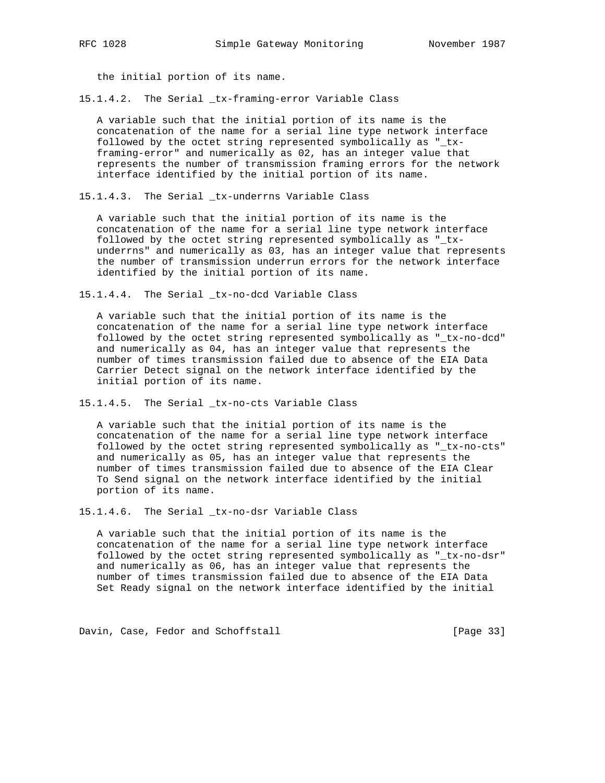the initial portion of its name.

15.1.4.2. The Serial \_tx-framing-error Variable Class

 A variable such that the initial portion of its name is the concatenation of the name for a serial line type network interface followed by the octet string represented symbolically as "\_tx framing-error" and numerically as 02, has an integer value that represents the number of transmission framing errors for the network interface identified by the initial portion of its name.

15.1.4.3. The Serial \_tx-underrns Variable Class

 A variable such that the initial portion of its name is the concatenation of the name for a serial line type network interface followed by the octet string represented symbolically as "\_tx underrns" and numerically as 03, has an integer value that represents the number of transmission underrun errors for the network interface identified by the initial portion of its name.

15.1.4.4. The Serial \_tx-no-dcd Variable Class

 A variable such that the initial portion of its name is the concatenation of the name for a serial line type network interface followed by the octet string represented symbolically as "\_tx-no-dcd" and numerically as 04, has an integer value that represents the number of times transmission failed due to absence of the EIA Data Carrier Detect signal on the network interface identified by the initial portion of its name.

15.1.4.5. The Serial \_tx-no-cts Variable Class

 A variable such that the initial portion of its name is the concatenation of the name for a serial line type network interface followed by the octet string represented symbolically as "\_tx-no-cts" and numerically as 05, has an integer value that represents the number of times transmission failed due to absence of the EIA Clear To Send signal on the network interface identified by the initial portion of its name.

15.1.4.6. The Serial \_tx-no-dsr Variable Class

 A variable such that the initial portion of its name is the concatenation of the name for a serial line type network interface followed by the octet string represented symbolically as "\_tx-no-dsr" and numerically as 06, has an integer value that represents the number of times transmission failed due to absence of the EIA Data Set Ready signal on the network interface identified by the initial

Davin, Case, Fedor and Schoffstall [Page 33]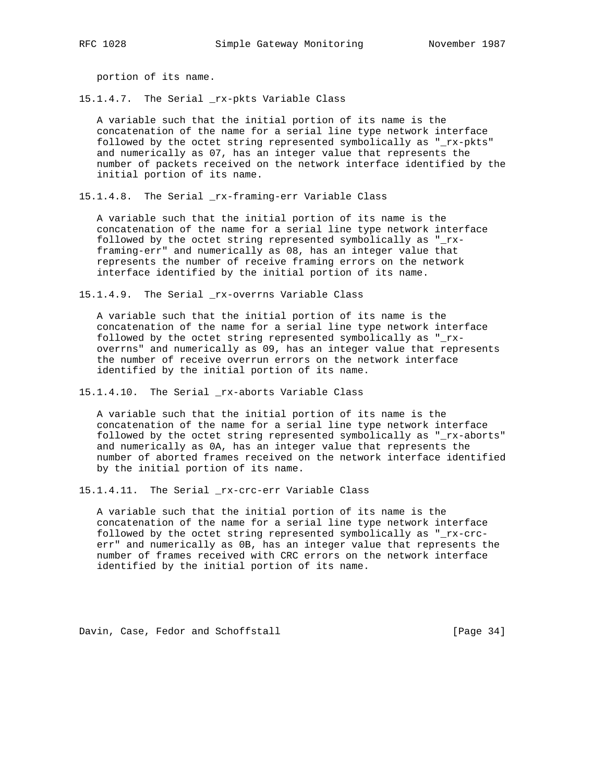portion of its name.

15.1.4.7. The Serial \_rx-pkts Variable Class

 A variable such that the initial portion of its name is the concatenation of the name for a serial line type network interface followed by the octet string represented symbolically as "\_rx-pkts" and numerically as 07, has an integer value that represents the number of packets received on the network interface identified by the initial portion of its name.

15.1.4.8. The Serial \_rx-framing-err Variable Class

 A variable such that the initial portion of its name is the concatenation of the name for a serial line type network interface followed by the octet string represented symbolically as "\_rx framing-err" and numerically as 08, has an integer value that represents the number of receive framing errors on the network interface identified by the initial portion of its name.

15.1.4.9. The Serial \_rx-overrns Variable Class

 A variable such that the initial portion of its name is the concatenation of the name for a serial line type network interface followed by the octet string represented symbolically as "\_rx overrns" and numerically as 09, has an integer value that represents the number of receive overrun errors on the network interface identified by the initial portion of its name.

15.1.4.10. The Serial \_rx-aborts Variable Class

 A variable such that the initial portion of its name is the concatenation of the name for a serial line type network interface followed by the octet string represented symbolically as "\_rx-aborts" and numerically as 0A, has an integer value that represents the number of aborted frames received on the network interface identified by the initial portion of its name.

15.1.4.11. The Serial \_rx-crc-err Variable Class

 A variable such that the initial portion of its name is the concatenation of the name for a serial line type network interface followed by the octet string represented symbolically as "\_rx-crc err" and numerically as 0B, has an integer value that represents the number of frames received with CRC errors on the network interface identified by the initial portion of its name.

Davin, Case, Fedor and Schoffstall [Page 34]